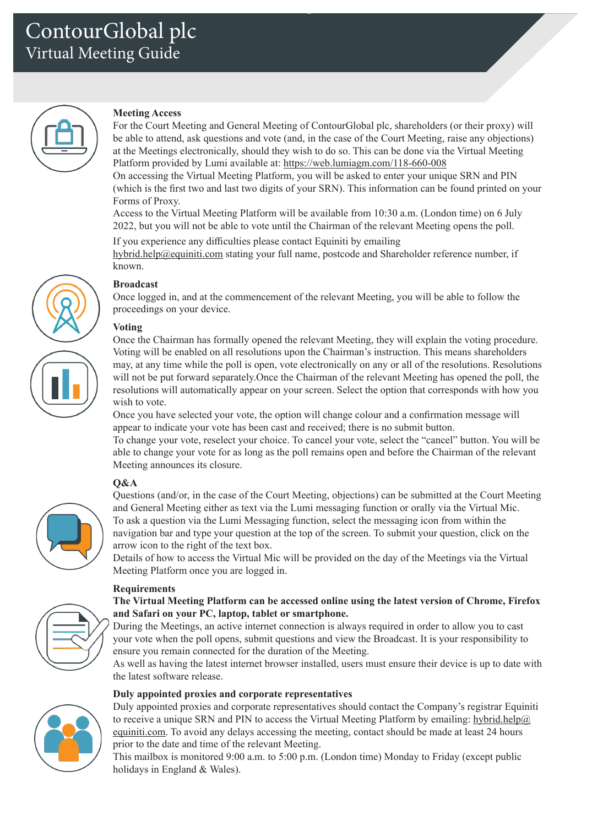

# **Meeting Access Meeting Access**

For the Court Meeting and General Meeting of ContourGlobal plc, shareholders (or their proxy) will be able to attend, ask questions and vote (and, in the case of the Court Meeting, raise any objections) at the Meetings electronically, should they wish to do so. This can be done via the Virtual Meeting Platform provided by Lumi available at: https://web.lumiagm.com/118-660-008

p

On accessing the Virtual Meeting Platform, you will be asked to enter your unique SRN and PIN (which is the first two and last two digits of your SRN). This information can be found printed on your Forms of Proxy.

Access to the Virtual Meeting Platform will be available from 10:30 a.m. (London time) on 6 July  $\frac{1}{2}$  but you will not be able to yote until the Cheirman of the relayert Meeting  $\infty$ . 2022, but you will not be able to vote until the Chairman of the relevant Meeting opens the poll.

If you experience any difficulties please contact Equiniti by emailing <u>hybrid.help@equiniti.com</u> stating your full name, postcode and Shareholder reference number, if  $h_0$ id.help $h_0$ known.

# **Broadcast**

**Broadcast** Once logged in, and at the commencement of the relevant Meeting, you will be able to follow the proceedings on your device.

## **Voting**

**Voting** Once the Chairman has formally opened the relevant Meeting, they will explain the Once the Chairman has formally opened the relevant Meeting, they will explain the voting procedure. Voting will be enabled on all resolutions upon the Chairman's instruction. This means shareholders may, at any time while the poll is open, vote electronically on any or all of the resolutions. Resolutions will not be put forward separately.Once the Chairman of the relevant Meeting has opened the poll, the resolutions will automatically appear on your screen. Select the option that corresponds with how you  $\mathbf{s}_h$  to vote the chairman of the poll, the poll, the poll, the poll, the poll, the poll, the resolutions will be resolutions will be resolutions will be resolutions will be resolutions will be resolutions will be reso wish to vote.

Once you have selected your vote, the option will change colour and a confirmation message will appear to indicate your vote has been cast and received; there is no submit button.

pour to marche your vote has been cast and received, there is no substitution. To change your vote, reselect your choice. To cancel your vote, select the "cancel" button. You will be able to change your vote for as long as the poll remains open and before the Chairman of the relevant Meeting announces its closure.

### $\mathcal{R}_t \Lambda$ **Q&A**



Questions (and/or, in the case of the Court Meeting, objections) can be submitted at the Court Meeting and General Meeting either as text via the Lumi messaging function or orally via the Virtual Mic. To ask a question via the Lumi Messaging function, select the messaging icon from within the the Court Meeting and General Meeting either as text via the Lumi messaging function navigation bar and type your question at the top of the screen. To submit your question, click on the arrow icon to the right of the text box.  $\frac{1}{2}$  ow icon to the fight of the text box.

Details of how to access the Virtual Mic will be provided on the day of the Meetings via the Virtual Meeting Platform once you are logged in.

#### $\Omega$  access the Virtual Microsoft on the day of the Meetings via the  $\Omega$ **Requirements**

## rtequitements<br>The Virtual Meeting Platform can be accessed online using the latest version of Chrome, Firefox **Requirements and Safari on your PC, laptop, tablet or smartphone.**

 $\sigma$  variation your L<sub>2</sub>, raptop, there is small plane. During the Meetings, an active internet connection is always required in order to allow you to cast your vote when the poll opens, submit questions and view the Broadcast. It is your responsibility to ensure you remain connected for the duration of the Meeting.

As well as having the latest internet browser installed, users must ensure their device is up to date with the latest software release.

### As well as having the latest internet browser installed, users must ensure the installed, users must ensure the **Duly appointed proxies and corporate representatives**

**Duly appointed proxies and corporate representatives** to receive a unique SRN and PIN to access the Virtual Meeting Platform by emailing: hybrid.help@  $\frac{1}{2}$ equiniti.com. To avoid any delays accessing the meeting, contact should be made at least 24 hours prior to the date and time of the relevant Meeting. Duly appointed proxies and corporate representatives should contact the Company's registrar Equiniti

This mailbox is monitored 9:00 a.m. to 5:00 p.m. (London time) Monday to Friday (except public holidays in England & Wales).